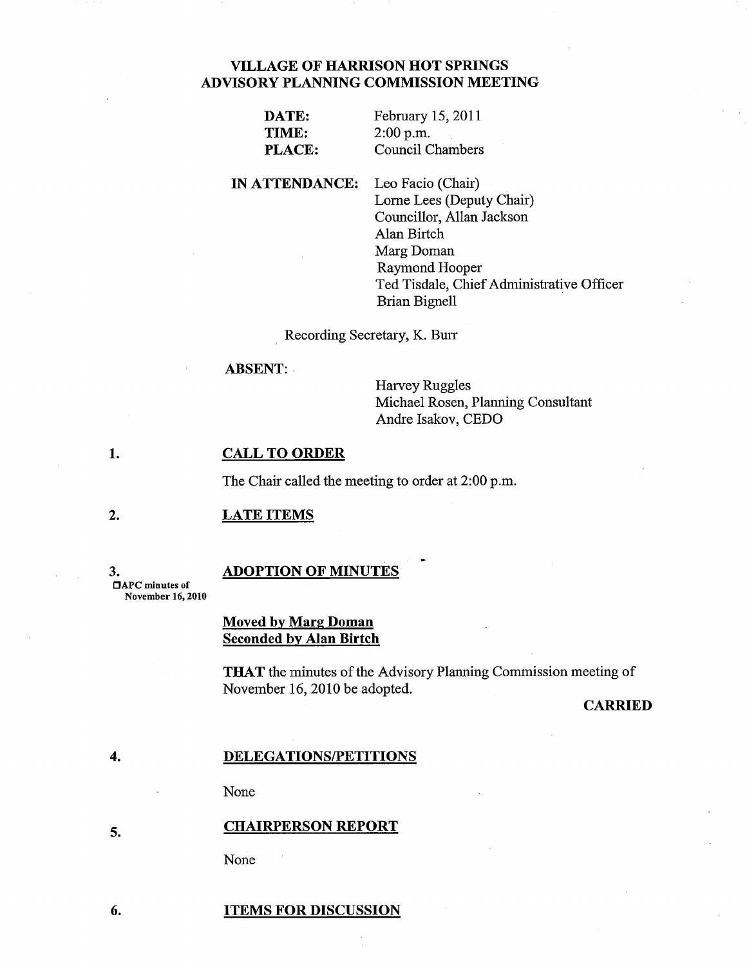# VILLAGE OF HARRISON HOT SPRINGS ADVISORY PLANNING COMMISSION MEETING

| DATE:         | February 15, 2011 |
|---------------|-------------------|
| TIME:         | $2:00$ p.m.       |
| <b>PLACE:</b> | Council Chambers  |

IN ATTENDANCE: Leo Facio (Chair) Lome Lees (Deputy Chair) Councillor, Allan Jackson Alan Birtch Marg Doman Raymond Hooper Ted Tisdale, Chief Administrative Officer Brian Bignell

Recording Secretary, K. Burr

ABSENT:

Harvey Ruggles Michael Rosen, Planning Consultant Andre Isakov, CEDO

#### 1. CALL TO ORDER

The Chair called the meeting to order at 2:00 p.m.

### 2. LATE ITEMS

3. DAPC minutes of November 16, 2010

4.

## ADOPTION OF MINUTES

Moved by Marg Doman Seconded by Alan Birtch

THAT the minutes of the Advisory Planning Commission meeting of November 16,2010 be adopted.

# **CARRIED**

## DELEGATIONS/PETITIONS

None

### 5. CHAIRPERSON REPORT

None

#### 6. ITEMS FOR DISCUSSION